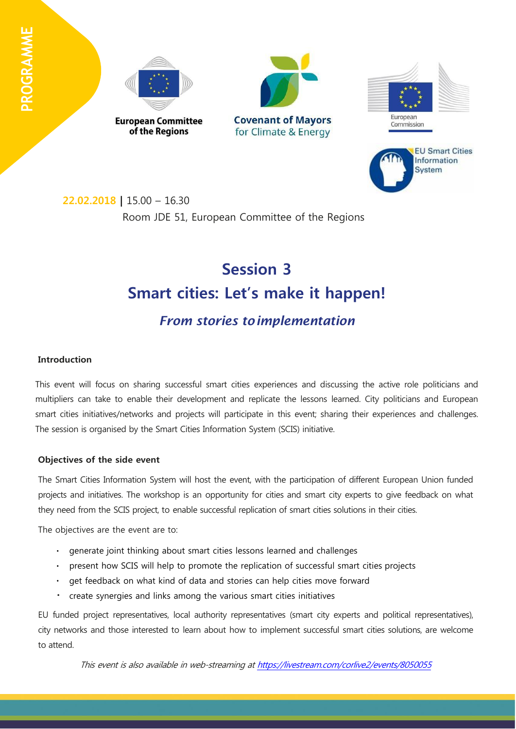







# **Session 3 Smart cities: Let's make it happen!** *From stories toimplementation*

# **Introduction**

This event will focus on sharing successful smart cities experiences and discussing the active role politicians and multipliers can take to enable their development and replicate the lessons learned. City politicians and European smart cities initiatives/networks and projects will participate in this event; sharing their experiences and challenges. The session is organised by the Smart Cities Information System (SCIS) initiative.

#### **Objectives of the side event**

The Smart Cities Information System will host the event, with the participation of different European Union funded projects and initiatives. The workshop is an opportunity for cities and smart city experts to give feedback on what they need from the SCIS project, to enable successful replication of smart cities solutions in their cities.

The objectives are the event are to:

- generate joint thinking about smart cities lessons learned and challenges
- present how SCIS will help to promote the replication of successful smart cities projects
- get feedback on what kind of data and stories can help cities move forward  $\bullet$
- create synergies and links among the various smart cities initiatives

EU funded project representatives, local authority representatives (smart city experts and political representatives), city networks and those interested to learn about how to implement successful smart cities solutions, are welcome to attend.

This event is also available in web-streaming at <https://livestream.com/corlive2/events/8050055>